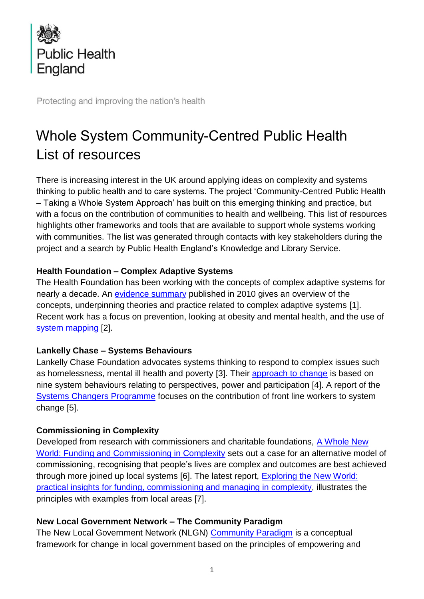

Protecting and improving the nation's health

# Whole System Community-Centred Public Health List of resources

There is increasing interest in the UK around applying ideas on complexity and systems thinking to public health and to care systems. The project 'Community-Centred Public Health – Taking a Whole System Approach' has built on this emerging thinking and practice, but with a focus on the contribution of communities to health and wellbeing. This list of resources highlights other frameworks and tools that are available to support whole systems working with communities. The list was generated through contacts with key stakeholders during the project and a search by Public Health England's Knowledge and Library Service.

#### **Health Foundation – Complex Adaptive Systems**

The Health Foundation has been working with the concepts of complex adaptive systems for nearly a decade. An [evidence summary](https://www.health.org.uk/publications/complex-adaptive-systems) published in 2010 gives an overview of the concepts, underpinning theories and practice related to complex adaptive systems [1]. Recent work has a focus on prevention, looking at obesity and mental health, and the use of [system mapping](https://www.health.org.uk/events/webinar-system-mapping-as-a-tool-for-action.) [2].

# **Lankelly Chase – Systems Behaviours**

Lankelly Chase Foundation advocates systems thinking to respond to complex issues such as homelessness, mental ill health and poverty [3]. Their [approach to change](https://lankellychase.org.uk/wp-content/uploads/2018/04/Our-Approach-To-Change-1.pdf) is based on nine system behaviours relating to perspectives, power and participation [4]. A report of the [Systems Changers](https://lankellychase.org.uk/building-the-field/systems-changers/) Programme focuses on the contribution of front line workers to system change [5].

# **Commissioning in Complexity**

Developed from research with commissioners and charitable foundations, [A Whole New](https://collaboratecic.com/a-whole-new-world-funding-and-commissioning-in-complexity-12b6bdc2abd8)  [World: Funding and Commissioning in Complexity](https://collaboratecic.com/a-whole-new-world-funding-and-commissioning-in-complexity-12b6bdc2abd8) sets out a case for an alternative model of commissioning, recognising that people's lives are complex and outcomes are best achieved through more joined up local systems [6]. The latest report, [Exploring the New World:](https://collaboratecic.com/exploring-the-new-world-practical-insights-for-funding-commissioning-and-managing-in-complexity-20a0c53b89aa)  [practical insights for funding, commissioning and managing in complexity,](https://collaboratecic.com/exploring-the-new-world-practical-insights-for-funding-commissioning-and-managing-in-complexity-20a0c53b89aa) illustrates the principles with examples from local areas [7].

# **New Local Government Network – The Community Paradigm**

The New Local Government Network (NLGN) [Community Paradigm](http://www.nlgn.org.uk/public/2019/the-community-paradigm-why-public-services-need-radical-change-and-how-it-can-be-achieved/) is a conceptual framework for change in local government based on the principles of empowering and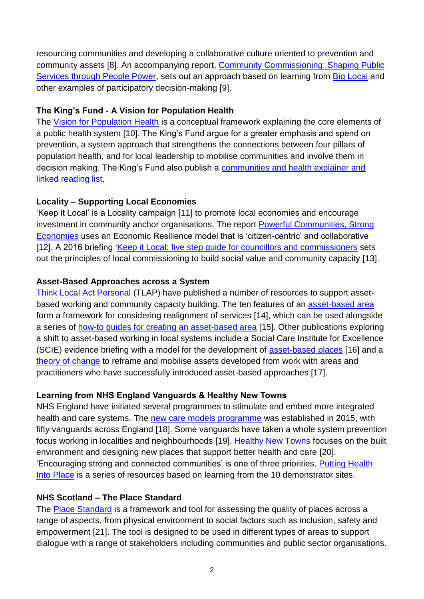resourcing communities and developing a collaborative culture oriented to prevention and community assets [8]. An accompanying report, [Community Commissioning: Shaping Public](http://www.nlgn.org.uk/public/2019/community-commissioning-shifting-to-prevention-through-people-power/)  [Services through People Power,](http://www.nlgn.org.uk/public/2019/community-commissioning-shifting-to-prevention-through-people-power/) sets out an approach based on learning from [Big Local](https://localtrust.org.uk/) and other examples of participatory decision-making [9].

## **The King's Fund - A Vision for Population Health**

The [Vision for Population Health](https://www.kingsfund.org.uk/publications/vision-population-health) is a conceptual framework explaining the core elements of a public health system [10]. The King's Fund argue for a greater emphasis and spend on prevention, a system approach that strengthens the connections between four pillars of population health, and for local leadership to mobilise communities and involve them in decision making. The King's Fund also publish a communities and health explainer and [linked reading list.](https://www.kingsfund.org.uk/publications/communities-and-health)

# **Locality – Supporting Local Economies**

'Keep it Local' is a Locality campaign [11] to promote local economies and encourage investment in community anchor organisations. The report [Powerful Communities, Strong](https://locality.org.uk/about/key-publications/powerful-communities-strong-economies-report/)  [Economies](https://locality.org.uk/about/key-publications/powerful-communities-strong-economies-report/) uses an Economic Resilience model that is 'citizen-centric' and collaborative [12]. A 2016 briefing 'Keep it Local: five step quide for councillors and commissioners sets out the principles of local commissioning to build social value and community capacity [13].

## **Asset-Based Approaches across a System**

[Think Local Act Personal](https://www.thinklocalactpersonal.org.uk/Browse/Building-Community-Capacity/) (TLAP) have published a number of resources to support assetbased working and community capacity building. The ten features of an [asset-based area](https://www.thinklocalactpersonal.org.uk/Latest/The-Asset-Based-Area-/) form a framework for considering realignment of services [14], which can be used alongside a series of [how-to guides for creating an asset-based area](https://www.thinklocalactpersonal.org.uk/Browse/Building-Community-Capacity/how-to-guides-for-creating-an-asset-based-area/) [15]. Other publications exploring a shift to asset-based working in local systems include a Social Care Institute for Excellence (SCIE) evidence briefing with a model for the development of [asset-based places](https://www.scie.org.uk/future-of-care/asset-based-places) [16] and a [theory of change](http://eprints.leedsbeckett.ac.uk/4497/) to reframe and mobilise assets developed from work with areas and practitioners who have successfully introduced asset-based approaches [17].

# **Learning from NHS England Vanguards & Healthy New Towns**

NHS England have initiated several programmes to stimulate and embed more integrated health and care systems. The [new care models programme](https://www.england.nhs.uk/new-care-models/about/) was established in 2015, with fifty vanguards across England [18]. Some vanguards have taken a whole system prevention focus working in localities and neighbourhoods [19]. [Healthy New Towns](https://www.england.nhs.uk/ourwork/innovation/healthy-new-towns/) focuses on the built environment and designing new places that support better health and care [20]. 'Encouraging strong and connected communities' is one of three priorities. [Putting Health](https://www.england.nhs.uk/publication/putting-health-into-place-executive-summary/)  [Into Place](https://www.england.nhs.uk/publication/putting-health-into-place-executive-summary/) is a series of resources based on learning from the 10 demonstrator sites.

#### **NHS Scotland – The Place Standard**

The [Place Standard](https://www.placestandard.scot/) is a framework and tool for assessing the quality of places across a range of aspects, from physical environment to social factors such as inclusion, safety and empowerment [21]. The tool is designed to be used in different types of areas to support dialogue with a range of stakeholders including communities and public sector organisations.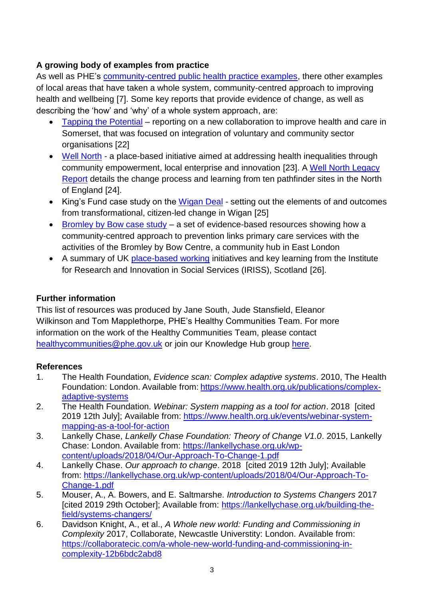# **A growing body of examples from practice**

As well as PHE's [community-centred public health practice examples,](https://phelibrary.koha-ptfs.co.uk/practice-examples/caba/) there other examples of local areas that have taken a whole system, community-centred approach to improving health and wellbeing [7]. Some key reports that provide evidence of change, as well as describing the 'how' and 'why' of a whole system approach, are:

- [Tapping the Potential](https://www.thinknpc.org/resource-hub/tapping-the-potential/) reporting on a new collaboration to improve health and care in Somerset, that was focused on integration of voluntary and community sector organisations [22]
- [Well North](https://wellnorthenterprises.co.uk/) a place-based initiative aimed at addressing health inequalities through community empowerment, local enterprise and innovation [23]. A [Well North Legacy](https://wellnorthenterprises.co.uk/wp-content/uploads/2019/05/Well-North-Legacy-Report-2019-FINAL.pdf)  [Report](https://wellnorthenterprises.co.uk/wp-content/uploads/2019/05/Well-North-Legacy-Report-2019-FINAL.pdf) details the change process and learning from ten pathfinder sites in the North of England [24].
- King's Fund case study on the [Wigan Deal](https://www.kingsfund.org.uk/publications/wigan-deal) setting out the elements of and outcomes from transformational, citizen-led change in Wigan [25]
- [Bromley by Bow case study](https://phelibrary.koha-ptfs.co.uk/practice-examples/caba/bbb/) a set of evidence-based resources showing how a community-centred approach to prevention links primary care services with the activities of the Bromley by Bow Centre, a community hub in East London
- A summary of UK [place-based working](https://www.iriss.org.uk/resources/irisson/place-based-working.) initiatives and key learning from the Institute for Research and Innovation in Social Services (IRISS), Scotland [26].

## **Further information**

This list of resources was produced by Jane South, Jude Stansfield, Eleanor Wilkinson and Tom Mapplethorpe, PHE's Healthy Communities Team. For more information on the work of the Healthy Communities Team, please contact [healthycommunities@phe.gov.uk](mailto:healthycommunities@phe.gov.uk) or join our Knowledge Hub group [here.](https://khub.net/group/phe-healthy-communities)

#### **References**

- 1. The Health Foundation, *Evidence scan: Complex adaptive systems*. 2010, The Health Foundation: London. Available from: [https://www.health.org.uk/publications/complex](https://www.health.org.uk/publications/complex-adaptive-systems)[adaptive-systems](https://www.health.org.uk/publications/complex-adaptive-systems)
- 2. The Health Foundation. *Webinar: System mapping as a tool for action*. 2018 [cited 2019 12th July]; Available from: [https://www.health.org.uk/events/webinar-system](https://www.health.org.uk/events/webinar-system-mapping-as-a-tool-for-action)[mapping-as-a-tool-for-action](https://www.health.org.uk/events/webinar-system-mapping-as-a-tool-for-action)
- 3. Lankelly Chase, *Lankelly Chase Foundation: Theory of Change V1.0*. 2015, Lankelly Chase: London. Available from: [https://lankellychase.org.uk/wp](https://lankellychase.org.uk/wp-content/uploads/2018/04/Our-Approach-To-Change-1.pdf)[content/uploads/2018/04/Our-Approach-To-Change-1.pdf](https://lankellychase.org.uk/wp-content/uploads/2018/04/Our-Approach-To-Change-1.pdf)
- 4. Lankelly Chase. *Our approach to change*. 2018 [cited 2019 12th July]; Available from: [https://lankellychase.org.uk/wp-content/uploads/2018/04/Our-Approach-To-](https://lankellychase.org.uk/wp-content/uploads/2018/04/Our-Approach-To-Change-1.pdf)[Change-1.pdf](https://lankellychase.org.uk/wp-content/uploads/2018/04/Our-Approach-To-Change-1.pdf)
- 5. Mouser, A., A. Bowers, and E. Saltmarshe. *Introduction to Systems Changers* 2017 [cited 2019 29th October]; Available from: [https://lankellychase.org.uk/building-the](https://lankellychase.org.uk/building-the-field/systems-changers/)[field/systems-changers/](https://lankellychase.org.uk/building-the-field/systems-changers/)
- 6. Davidson Knight, A., et al., *A Whole new world: Funding and Commissioning in Complexity* 2017, Collaborate, Newcastle Universtity: London. Available from: [https://collaboratecic.com/a-whole-new-world-funding-and-commissioning-in](https://collaboratecic.com/a-whole-new-world-funding-and-commissioning-in-complexity-12b6bdc2abd8)[complexity-12b6bdc2abd8](https://collaboratecic.com/a-whole-new-world-funding-and-commissioning-in-complexity-12b6bdc2abd8)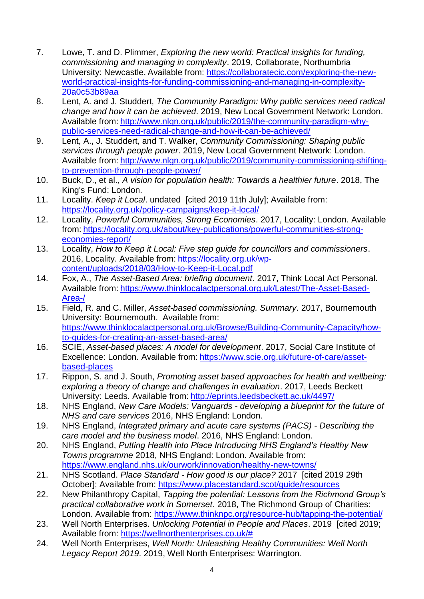- 7. Lowe, T. and D. Plimmer, *Exploring the new world: Practical insights for funding, commissioning and managing in complexity*. 2019, Collaborate, Northumbria University: Newcastle. Available from: [https://collaboratecic.com/exploring-the-new](https://collaboratecic.com/exploring-the-new-world-practical-insights-for-funding-commissioning-and-managing-in-complexity-20a0c53b89aa)[world-practical-insights-for-funding-commissioning-and-managing-in-complexity-](https://collaboratecic.com/exploring-the-new-world-practical-insights-for-funding-commissioning-and-managing-in-complexity-20a0c53b89aa)[20a0c53b89aa](https://collaboratecic.com/exploring-the-new-world-practical-insights-for-funding-commissioning-and-managing-in-complexity-20a0c53b89aa)
- 8. Lent, A. and J. Studdert, *The Community Paradigm: Why public services need radical change and how it can be achieved*. 2019, New Local Government Network: London. Available from: [http://www.nlgn.org.uk/public/2019/the-community-paradigm-why](http://www.nlgn.org.uk/public/2019/the-community-paradigm-why-public-services-need-radical-change-and-how-it-can-be-achieved/)[public-services-need-radical-change-and-how-it-can-be-achieved/](http://www.nlgn.org.uk/public/2019/the-community-paradigm-why-public-services-need-radical-change-and-how-it-can-be-achieved/)
- 9. Lent, A., J. Studdert, and T. Walker, *Community Commissioning: Shaping public services through people power*. 2019, New Local Government Network: London. Available from: [http://www.nlgn.org.uk/public/2019/community-commissioning-shifting](http://www.nlgn.org.uk/public/2019/community-commissioning-shifting-to-prevention-through-people-power/)[to-prevention-through-people-power/](http://www.nlgn.org.uk/public/2019/community-commissioning-shifting-to-prevention-through-people-power/)
- 10. Buck, D., et al., *A vision for population health: Towards a healthier future*. 2018, The King's Fund: London.
- 11. Locality. *Keep it Local*. undated [cited 2019 11th July]; Available from: <https://locality.org.uk/policy-campaigns/keep-it-local/>
- 12. Locality, *Powerful Communities, Strong Economies*. 2017, Locality: London. Available from: [https://locality.org.uk/about/key-publications/powerful-communities-strong](https://locality.org.uk/about/key-publications/powerful-communities-strong-economies-report/)[economies-report/](https://locality.org.uk/about/key-publications/powerful-communities-strong-economies-report/)
- 13. Locality, *How to Keep it Local: Five step guide for councillors and commissioners*. 2016, Locality. Available from: [https://locality.org.uk/wp](https://locality.org.uk/wp-content/uploads/2018/03/How-to-Keep-it-Local.pdf)[content/uploads/2018/03/How-to-Keep-it-Local.pdf](https://locality.org.uk/wp-content/uploads/2018/03/How-to-Keep-it-Local.pdf)
- 14. Fox, A., *The Asset-Based Area: briefing document*. 2017, Think Local Act Personal. Available from: [https://www.thinklocalactpersonal.org.uk/Latest/The-Asset-Based-](https://www.thinklocalactpersonal.org.uk/Latest/The-Asset-Based-Area-/)[Area-/](https://www.thinklocalactpersonal.org.uk/Latest/The-Asset-Based-Area-/)
- 15. Field, R. and C. Miller, *Asset-based commissioning. Summary*. 2017, Bournemouth University: Bournemouth. Available from: [https://www.thinklocalactpersonal.org.uk/Browse/Building-Community-Capacity/how](https://www.thinklocalactpersonal.org.uk/Browse/Building-Community-Capacity/how-to-guides-for-creating-an-asset-based-area/)[to-guides-for-creating-an-asset-based-area/](https://www.thinklocalactpersonal.org.uk/Browse/Building-Community-Capacity/how-to-guides-for-creating-an-asset-based-area/)
- 16. SCIE, *Asset-based places: A model for development*. 2017, Social Care Institute of Excellence: London. Available from: [https://www.scie.org.uk/future-of-care/asset](https://www.scie.org.uk/future-of-care/asset-based-places)[based-places](https://www.scie.org.uk/future-of-care/asset-based-places)
- 17. Rippon, S. and J. South, *Promoting asset based approaches for health and wellbeing: exploring a theory of change and challenges in evaluation*. 2017, Leeds Beckett University: Leeds. Available from: <http://eprints.leedsbeckett.ac.uk/4497/>
- 18. NHS England, *New Care Models: Vanguards - developing a blueprint for the future of NHS and care services* 2016, NHS England: London.
- 19. NHS England, *Integrated primary and acute care systems (PACS) - Describing the care model and the business model*. 2016, NHS England: London.
- 20. NHS England, *Putting Health into Place Introducing NHS England's Healthy New Towns programme* 2018, NHS England: London. Available from: <https://www.england.nhs.uk/ourwork/innovation/healthy-new-towns/>
- 21. NHS Scotland. *Place Standard - How good is our place?* 2017 [cited 2019 29th October]; Available from: <https://www.placestandard.scot/guide/resources>
- 22. New Philanthropy Capital, *Tapping the potential: Lessons from the Richmond Group's practical collaborative work in Somerset*. 2018, The Richmond Group of Charities: London. Available from:<https://www.thinknpc.org/resource-hub/tapping-the-potential/>
- 23. Well North Enterprises. *Unlocking Potential in People and Places*. 2019 [cited 2019; Available from: [https://wellnorthenterprises.co.uk/#](https://wellnorthenterprises.co.uk/)
- 24. Well North Enterprises, *Well North: Unleashing Healthy Communities: Well North Legacy Report 2019*. 2019, Well North Enterprises: Warrington.